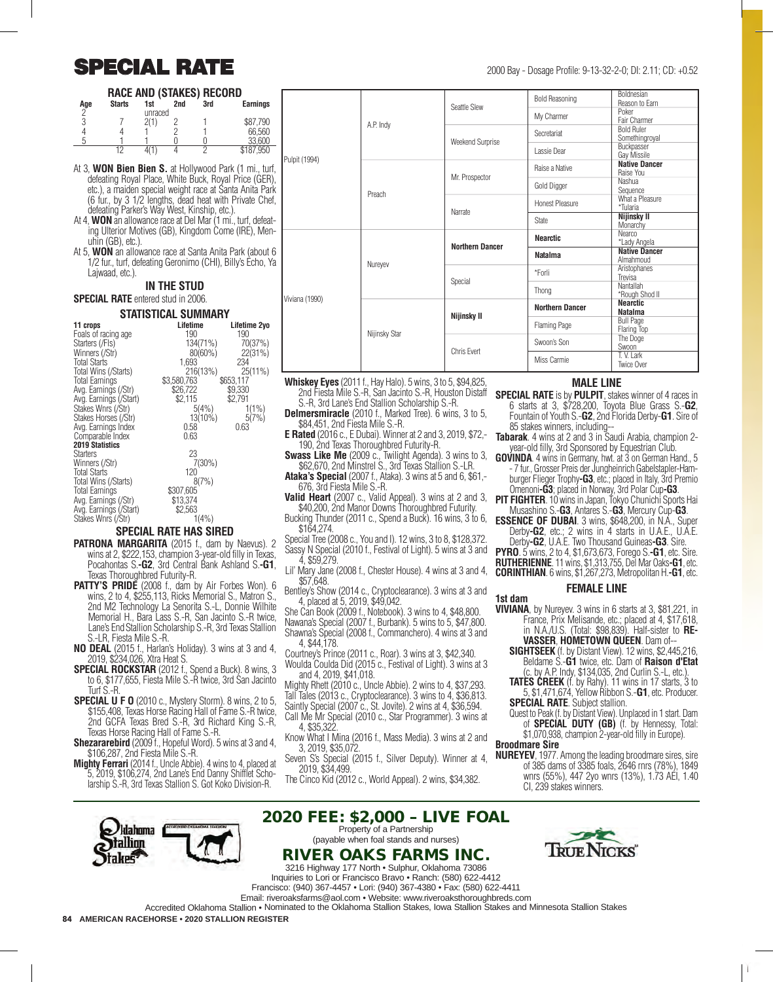# $\text{SPECIAL RATE}$  2000 Bay - Dosage Profile: 9-13-32-2-0; DI: 2.11; CD: +0.52

### **RACE AND (STAKES) RECORD**

| Age<br>∩ | <b>Starts</b> | 1st<br>unraced | 2nd | 3rd | <b>Earnings</b> |
|----------|---------------|----------------|-----|-----|-----------------|
| 3        |               |                |     |     | \$87.790        |
|          |               |                |     |     | 66,560          |
| ь        |               |                |     |     | 33,600          |
|          | 12            |                |     |     | \$187.950       |

- At 3, **WON Bien Bien S.** at Hollywood Park (1 mi., turf, defeating Royal Place, White Buck, Royal Price (GER), etc.), a maiden special weight race at Santa Anita Park (6 fur., by 3 1/2 lengths, dead heat with Private Chef, defeating Parker's Way West, Kinship, etc.).
- At 4, **WON** an allowance race at Del Mar (1 mi., turf, defeating Ulterior Motives (GB), Kingdom Come (IRE), Menuhin (GB), etc.).
- At 5, **WON** an allowance race at Santa Anita Park (about 6 1/2 fur., turf, defeating Geronimo (CHI), Billy's Echo, Ya Lajwaad, etc.).

### **IN THE STUD**

#### **SPECIAL RATE** entered stud in 2006. **STATISTICAL SUMMARY**

| STATISTICAL SUM        |             |              |  |  |
|------------------------|-------------|--------------|--|--|
| 11 crops               | Lifetime    | Lifetime 2yo |  |  |
| Foals of racing age    | 190         | 190          |  |  |
| Starters (/Fls)        | 134(71%)    | 70(37%)      |  |  |
| Winners (/Str)         | $80(60\%)$  | 22(31%)      |  |  |
| <b>Total Starts</b>    | 1.693       | 234          |  |  |
| Total Wins (/Starts)   | 216(13%)    | $25(11\%)$   |  |  |
| Total Earnings         | \$3,580,763 | \$653,117    |  |  |
| Avg. Earnings (/Str)   | \$26,722    | \$9,330      |  |  |
| Avg. Earnings (/Start) | \$2,115     | \$2,791      |  |  |
| Stakes Wnrs (/Str)     | 5(4%)       | $1(1\%)$     |  |  |
| Stakes Horses (/Str)   | $13(10\%)$  | 5(7%)        |  |  |
| Avg. Earnings Index    | 0.58        | 0.63         |  |  |
| Comparable Index       | 0.63        |              |  |  |
| 2019 Statistics        |             |              |  |  |
| Starters               | 23          |              |  |  |
| Winners (/Str)         | $7(30\%)$   |              |  |  |
| <b>Total Starts</b>    | 120         |              |  |  |
| Total Wins (/Starts)   | 8(7%)       |              |  |  |
| <b>Total Earnings</b>  | \$307,605   |              |  |  |
| Avg. Earnings (/Str)   | \$13,374    |              |  |  |
| Avg. Earnings (/Start) | \$2,563     |              |  |  |
| Stakes Wnrs (/Str)     | 1(4% )      |              |  |  |

### **SPECIAL RATE HAS SIRED**

- **PATRONA MARGARITA** (2015 f., dam by Naevus). 2 wins at 2, \$222,153, champion 3-year-old filly in Texas, Pocahontas S.**-G2**, 3rd Central Bank Ashland S.**-G1**, Texas Thoroughbred Futurity-R.
- **PATTY'S PRIDE** (2008 f., dam by Air Forbes Won). 6 wins, 2 to 4, \$255,113, Ricks Memorial S., Matron S., 2nd M2 Technology La Senorita S.-L, Donnie Wilhite Memorial H., Bara Lass S.-R, San Jacinto S.-R twice, Lane's End Stallion Scholarship S.-R, 3rd Texas Stallion S.-LR, Fiesta Mile S.-R.
- **NO DEAL** (2015 f., Harlan's Holiday). 3 wins at 3 and 4, 2019, \$234,026, Xtra Heat S.
- **SPECIAL ROCKSTAR** (2012 f., Spend a Buck). 8 wins, 3 to 6, \$177,655, Fiesta Mile S.-R twice, 3rd San Jacinto Turf S.-R.
- **SPECIAL U F O** (2010 c., Mystery Storm). 8 wins, 2 to 5, \$155,408, Texas Horse Racing Hall of Fame S.-R twice, 2nd GCFA Texas Bred S.-R, 3rd Richard King S.-R, Texas Horse Racing Hall of Fame S.-R.
- **Shezararebird** (2009) f., Hopeful Word). 5 wins at 3 and 4, \$106,287, 2nd Fiesta Mile S.-R.
- **Mighty Ferrari** (2014 f., Uncle Abbie). 4 wins to 4, placed at 5, 2019, \$106,274, 2nd Lane's End Danny Shifflet Scholarship S.-R, 3rd Texas Stallion S. Got Koko Division-R.

klahoma allinn

|  | A.P. Indy | Seattle Slew     | <b>Bold Reasoning</b> | <b>Boldnesian</b><br>Reason to Earn |
|--|-----------|------------------|-----------------------|-------------------------------------|
|  |           |                  | My Charmer            | Poker<br>Fair Charmer               |
|  |           | Weekend Surprise | Secretariat           | <b>Bold Ruler</b><br>Somethingroval |
|  |           |                  | Lassie Dear           | Buckpasser<br>Gav Missile           |
|  |           | Mr. Prospector   | Raise a Native        | <b>Native Dancer</b><br>Raise You   |
|  | Denneb    |                  | Gold Digger           | Nashua<br>Sequence                  |

|                | A.P. Indy     |                        | <b>Bold Reasoning</b>  | <b>Boldnesian</b><br>Reason to Earn |
|----------------|---------------|------------------------|------------------------|-------------------------------------|
|                |               | Seattle Slew           | My Charmer             | Poker<br>Fair Charmer               |
|                |               | Weekend Surprise       | Secretariat            | <b>Bold Ruler</b><br>Somethingroyal |
| Pulpit (1994)  |               |                        | Lassie Dear            | Buckpasser<br>Gay Missile           |
|                | Preach        | Mr. Prospector         | Raise a Native         | <b>Native Dancer</b><br>Raise You   |
|                |               |                        | Gold Digger            | Nashua<br>Sequence                  |
|                |               | Narrate                | <b>Honest Pleasure</b> | What a Pleasure<br>*Tularia         |
|                |               |                        | <b>State</b>           | Nijinsky II<br>Monarchy             |
|                |               | <b>Northern Dancer</b> | <b>Nearctic</b>        | <b>Nearco</b><br>*Lady Angela       |
|                | Nureyev       |                        | <b>Natalma</b>         | <b>Native Dancer</b><br>Almahmoud   |
|                |               | Special                | *Forli                 | Aristophanes<br>Trevisa             |
| Viviana (1990) |               |                        | Thong                  | Nantallah<br>*Rough Shod II         |
|                | Nijinsky Star | Nijinsky II            | <b>Northern Dancer</b> | <b>Nearctic</b><br><b>Natalma</b>   |
|                |               |                        | Flaming Page           | <b>Bull Page</b><br>Flaring Top     |
|                |               | Chris Evert            | Swoon's Son            | The Doge<br>Swoon                   |
|                |               |                        | Miss Carmie            | T. V. Lark<br>Twice Over            |

- **Whiskey Eyes** (2011 f., Hay Halo). 5 wins, 3 to 5, \$94,825, 2nd Fiesta Mile S.-R, San Jacinto S.-R, Houston Distaff S.-R, 3rd Lane's End Stallion Scholarship S.-R.
- **Delmersmiracle** (2010 f., Marked Tree). 6 wins, 3 to 5, \$84,451, 2nd Fiesta Mile S.-R.
- **E Rated** (2016 c., E Dubai). Winner at 2 and 3, 2019, \$72,- 190, 2nd Texas Thoroughbred Futurity-R.
- **Swass Like Me** (2009 c., Twilight Agenda). 3 wins to 3, \$62,670, 2nd Minstrel S., 3rd Texas Stallion S.-LR.
- **Ataka's Special** (2007 f., Ataka). 3 wins at 5 and 6, \$61,- 676, 3rd Fiesta Mile S.-R.
- **Valid Heart** (2007 c., Valid Appeal). 3 wins at 2 and 3, \$40,200, 2nd Manor Downs Thoroughbred Futurity.
- Bucking Thunder (2011 c., Spend a Buck). 16 wins, 3 to 6, \$164,274.
- Special Tree (2008 c., You and I). 12 wins, 3 to 8, \$128,372. Sassy N Special (2010 f., Festival of Light). 5 wins at 3 and 4, \$59,279.
- Lil' Mary Jane (2008 f., Chester House). 4 wins at 3 and 4, \$57,648.
- Bentley's Show (2014 c., Cryptoclearance). 3 wins at 3 and 4, placed at 5, 2019, \$49,042.
- She Can Book (2009 f., Notebook). 3 wins to 4, \$48,800. Nawana's Special (2007 f., Burbank). 5 wins to 5, \$47,800. Shawna's Special (2008 f., Commanchero). 4 wins at 3 and
- 4, \$44,178. Courtney's Prince (2011 c., Roar). 3 wins at 3, \$42,340.
- Woulda Coulda Did (2015 c., Festival of Light). 3 wins at 3 and 4, 2019, \$41,018.
- Mighty Rhett (2010 c., Uncle Abbie). 2 wins to 4, \$37,293.
- Tall Tales (2013 c., Cryptoclearance). 3 wins to 4, \$36,813. Saintly Special (2007 c., St. Jovite). 2 wins at 4, \$36,594.
- Call Me Mr Special (2010 c., Star Programmer). 3 wins at
- 4, \$35,322. Know What I Mina (2016 f., Mass Media). 3 wins at 2 and
- 3, 2019, \$35,072.
- Seven S's Special (2015 f., Silver Deputy). Winner at 4, 2019, \$34,499.
- The Cinco Kid (2012 c., World Appeal). 2 wins, \$34,382.

# 2020 FEE: \$2,000 – LIVE FOAL

Property of a Partnership (payable when foal stands and nurses)

# RIVER OAKS FARMS INC.

3216 Highway 177 North • Sulphur, Oklahoma 73086 Inquiries to Lori or Francisco Bravo • Ranch: (580) 622-4412 Francisco: (940) 367-4457 • Lori: (940) 367-4380 • Fax: (580) 622-4411

Email: riveroaksfarms@aol.com • Website: www.riveroaksthoroughbreds.com

Accredited Oklahoma Stallion • Nominated to the Oklahoma Stallion Stakes, Iowa Stallion Stakes and Minnesota Stallion Stakes

#### **MALE LINE**

- **SPECIAL RATE** is by **PULPIT**, stakes winner of 4 races in 6 starts at 3, \$728,200, Toyota Blue Grass S.-**G2**, Fountain of Youth S.-**G2**, 2nd Florida Derby-**G1**. Sire of 85 stakes winners, including--
- **Tabarak**. 4 wins at 2 and 3 in Saudi Arabia, champion 2 year-old filly, 3rd Sponsored by Equestrian Club.
- **GOVINDA**. 4 wins in Germany, hwt. at 3 on German Hand., 5 - 7 fur., Grosser Preis der Jungheinrich Gabelstapler-Hamburger Flieger Trophy**-G3**, etc.; placed in Italy, 3rd Premio Omenoni**-G3**; placed in Norway, 3rd Polar Cup**-G3**.
- **PIT FIGHTER**. 10 wins in Japan, Tokyo Chunichi Sports Hai Musashino S.-**G3**, Antares S.-**G3**, Mercury Cup-**G3**.
- **ESSENCE OF DUBAI**. 3 wins, \$648,200, in N.A., Super Derby**-G2**, etc.; 2 wins in 4 starts in U.A.E., U.A.E. Derby**-G2**, U.A.E. Two Thousand Guineas**-G3**. Sire.
- **PYRO**. 5 wins, 2 to 4, \$1,673,673, Forego S.**-G1**, etc. Sire. **RUTHERIENNE**. 11 wins, \$1,313,755, Del Mar Oaks**-G1**, etc.
- **CORINTHIAN**. 6 wins, \$1,267,273, Metropolitan H.**-G1**, etc.

#### **FEMALE LINE**

- **1st dam VIVIANA**, by Nureyev. 3 wins in 6 starts at 3, \$81,221, in France, Prix Melisande, etc.; placed at 4, \$17,618, in N.A./U.S. (Total: \$98,839). Half-sister to **RE-VASSER**, **HOMETOWN QUEEN**. Dam of--
	- **SIGHTSEEK** (f. by Distant View). 12 wins, \$2,445,216, Beldame S.-**G1** twice, etc. Dam of **Raison d'Etat** (c. by A.P. Indy, \$134,035, 2nd Curlin S.-L, etc.).
	- **TATES CREEK** (f. by Rahy). 11 wins in 17 starts, 3 to 5, \$1,471,674, Yellow Ribbon S.-**G1**, etc. Producer. **SPECIAL RATE**. Subject stallion.
	- Quest to Peak (f. by Distant View). Unplaced in 1 start. Dam of **SPECIAL DUTY (GB)** (f. by Hennessy, Total: \$1,070,938, champion 2-year-old filly in Europe).
- **Broodmare Sire**
- **NUREYEV**, 1977. Among the leading broodmare sires, sire of 385 dams of 3385 foals, 2646 rnrs (78%), 1849 wnrs (55%), 447 2yo wnrs (13%), 1.73 AEI, 1.40 CI, 239 stakes winners.